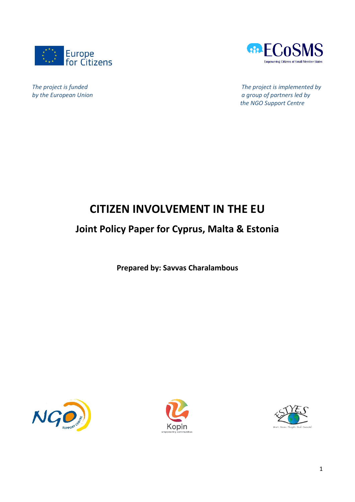



*The project is funded The project is implemented by*<br> *by the European Union by the European Union a group of partners led by the NGO Support Centre*

# **CITIZEN INVOLVEMENT IN THE EU**

## **Joint Policy Paper for Cyprus, Malta & Estonia**

**Prepared by: Savvas Charalambous**





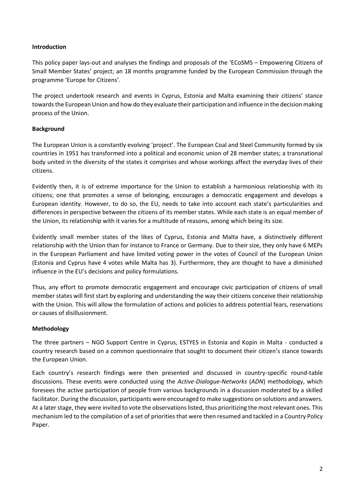#### **Introduction**

This policy paper lays-out and analyses the findings and proposals of the 'ECoSMS – Empowering Citizens of Small Member States' project; an 18 months programme funded by the European Commission through the programme 'Europe for Citizens'.

The project undertook research and events in Cyprus, Estonia and Malta examining their citizens' stance towards the European Union and how do they evaluate their participation and influence in the decision making process of the Union.

#### **Background**

The European Union is a constantly evolving 'project'. The European Coal and Steel Community formed by six countries in 1951 has transformed into a political and economic union of 28 member states; a transnational body united in the diversity of the states it comprises and whose workings affect the everyday lives of their citizens.

Evidently then, it is of extreme importance for the Union to establish a harmonious relationship with its citizens; one that promotes a sense of belonging, encourages a democratic engagement and develops a European identity. However, to do so, the EU, needs to take into account each state's particularities and differences in perspective between the citizens of its member states. While each state is an equal member of the Union, its relationship with it varies for a multitude of reasons, among which being its size.

Evidently small member states of the likes of Cyprus, Estonia and Malta have, a distinctively different relationship with the Union than for instance to France or Germany. Due to their size, they only have 6 MEPs in the European Parliament and have limited voting power in the votes of Council of the European Union (Estonia and Cyprus have 4 votes while Malta has 3). Furthermore, they are thought to have a diminished influence in the EU's decisions and policy formulations.

Thus, any effort to promote democratic engagement and encourage civic participation of citizens of small member states will first start by exploring and understanding the way their citizens conceive their relationship with the Union. This will allow the formulation of actions and policies to address potential fears, reservations or causes of disillusionment.

#### **Methodology**

The three partners – NGO Support Centre in Cyprus, ESTYES in Estonia and Kopin in Malta - conducted a country research based on a common questionnaire that sought to document their citizen's stance towards the European Union.

Each country's research findings were then presented and discussed in country-specific round-table discussions. These events were conducted using the *Active-Dialogue-Networks* (*ADN*) methodology, which foresees the active participation of people from various backgrounds in a discussion moderated by a skilled facilitator. During the discussion, participants were encouraged to make suggestions on solutions and answers. At a later stage, they were invited to vote the observations listed, thus prioritizing the most relevant ones. This mechanism led to the compilation of a set of priorities that were then resumed and tackled in a Country Policy Paper.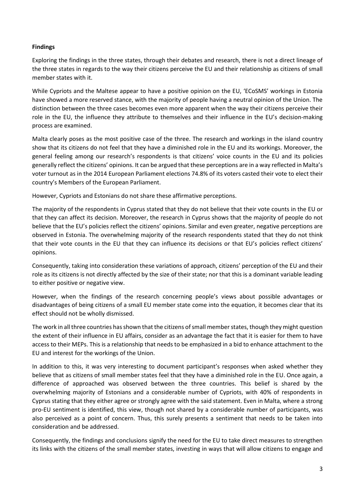#### **Findings**

Exploring the findings in the three states, through their debates and research, there is not a direct lineage of the three states in regards to the way their citizens perceive the EU and their relationship as citizens of small member states with it.

While Cypriots and the Maltese appear to have a positive opinion on the EU, 'ECoSMS' workings in Estonia have showed a more reserved stance, with the majority of people having a neutral opinion of the Union. The distinction between the three cases becomes even more apparent when the way their citizens perceive their role in the EU, the influence they attribute to themselves and their influence in the EU's decision-making process are examined.

Malta clearly poses as the most positive case of the three. The research and workings in the island country show that its citizens do not feel that they have a diminished role in the EU and its workings. Moreover, the general feeling among our research's respondents is that citizens' voice counts in the EU and its policies generally reflect the citizens' opinions. It can be argued that these perceptions are in a way reflected in Malta's voter turnout as in the 2014 European Parliament elections 74.8% of its voters casted their vote to elect their country's Members of the European Parliament.

However, Cypriots and Estonians do not share these affirmative perceptions.

The majority of the respondents in Cyprus stated that they do not believe that their vote counts in the EU or that they can affect its decision. Moreover, the research in Cyprus shows that the majority of people do not believe that the EU's policies reflect the citizens' opinions. Similar and even greater, negative perceptions are observed in Estonia. The overwhelming majority of the research respondents stated that they do not think that their vote counts in the EU that they can influence its decisions or that EU's policies reflect citizens' opinions.

Consequently, taking into consideration these variations of approach, citizens' perception of the EU and their role as its citizens is not directly affected by the size of their state; nor that this is a dominant variable leading to either positive or negative view.

However, when the findings of the research concerning people's views about possible advantages or disadvantages of being citizens of a small EU member state come into the equation, it becomes clear that its effect should not be wholly dismissed.

The work in all three countries has shown that the citizens of small member states, though they might question the extent of their influence in EU affairs, consider as an advantage the fact that it is easier for them to have access to their MEPs. This is a relationship that needs to be emphasized in a bid to enhance attachment to the EU and interest for the workings of the Union.

In addition to this, it was very interesting to document participant's responses when asked whether they believe that as citizens of small member states feel that they have a diminished role in the EU. Once again, a difference of approached was observed between the three countries. This belief is shared by the overwhelming majority of Estonians and a considerable number of Cypriots, with 40% of respondents in Cyprus stating that they either agree or strongly agree with the said statement. Even in Malta, where a strong pro-EU sentiment is identified, this view, though not shared by a considerable number of participants, was also perceived as a point of concern. Thus, this surely presents a sentiment that needs to be taken into consideration and be addressed.

Consequently, the findings and conclusions signify the need for the EU to take direct measures to strengthen its links with the citizens of the small member states, investing in ways that will allow citizens to engage and